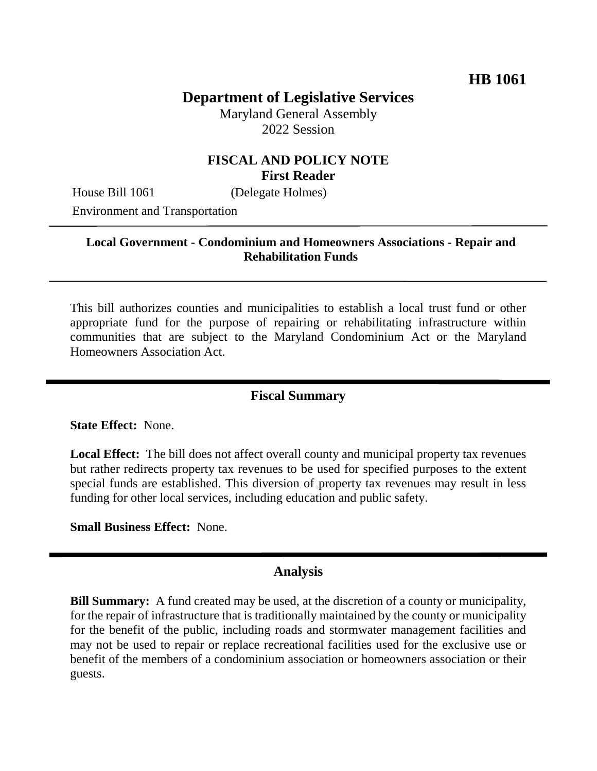# **Department of Legislative Services**

Maryland General Assembly 2022 Session

### **FISCAL AND POLICY NOTE First Reader**

House Bill 1061 (Delegate Holmes)

Environment and Transportation

#### **Local Government - Condominium and Homeowners Associations - Repair and Rehabilitation Funds**

This bill authorizes counties and municipalities to establish a local trust fund or other appropriate fund for the purpose of repairing or rehabilitating infrastructure within communities that are subject to the Maryland Condominium Act or the Maryland Homeowners Association Act.

#### **Fiscal Summary**

**State Effect:** None.

**Local Effect:** The bill does not affect overall county and municipal property tax revenues but rather redirects property tax revenues to be used for specified purposes to the extent special funds are established. This diversion of property tax revenues may result in less funding for other local services, including education and public safety.

**Small Business Effect:** None.

#### **Analysis**

**Bill Summary:** A fund created may be used, at the discretion of a county or municipality, for the repair of infrastructure that is traditionally maintained by the county or municipality for the benefit of the public, including roads and stormwater management facilities and may not be used to repair or replace recreational facilities used for the exclusive use or benefit of the members of a condominium association or homeowners association or their guests.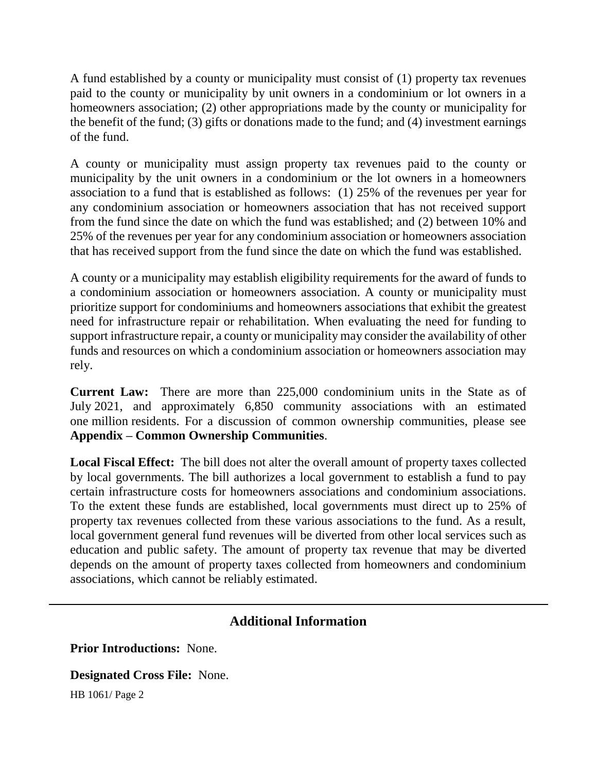A fund established by a county or municipality must consist of (1) property tax revenues paid to the county or municipality by unit owners in a condominium or lot owners in a homeowners association; (2) other appropriations made by the county or municipality for the benefit of the fund; (3) gifts or donations made to the fund; and (4) investment earnings of the fund.

A county or municipality must assign property tax revenues paid to the county or municipality by the unit owners in a condominium or the lot owners in a homeowners association to a fund that is established as follows: (1) 25% of the revenues per year for any condominium association or homeowners association that has not received support from the fund since the date on which the fund was established; and (2) between 10% and 25% of the revenues per year for any condominium association or homeowners association that has received support from the fund since the date on which the fund was established.

A county or a municipality may establish eligibility requirements for the award of funds to a condominium association or homeowners association. A county or municipality must prioritize support for condominiums and homeowners associations that exhibit the greatest need for infrastructure repair or rehabilitation. When evaluating the need for funding to support infrastructure repair, a county or municipality may consider the availability of other funds and resources on which a condominium association or homeowners association may rely.

**Current Law:** There are more than 225,000 condominium units in the State as of July 2021, and approximately 6,850 community associations with an estimated one million residents. For a discussion of common ownership communities, please see **Appendix – Common Ownership Communities**.

**Local Fiscal Effect:** The bill does not alter the overall amount of property taxes collected by local governments. The bill authorizes a local government to establish a fund to pay certain infrastructure costs for homeowners associations and condominium associations. To the extent these funds are established, local governments must direct up to 25% of property tax revenues collected from these various associations to the fund. As a result, local government general fund revenues will be diverted from other local services such as education and public safety. The amount of property tax revenue that may be diverted depends on the amount of property taxes collected from homeowners and condominium associations, which cannot be reliably estimated.

## **Additional Information**

**Prior Introductions:** None.

**Designated Cross File:** None.

HB 1061/ Page 2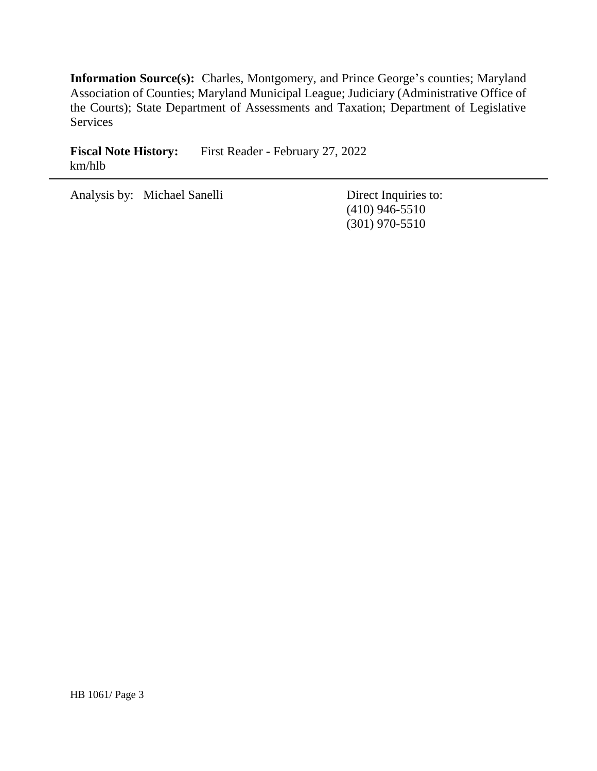**Information Source(s):** Charles, Montgomery, and Prince George's counties; Maryland Association of Counties; Maryland Municipal League; Judiciary (Administrative Office of the Courts); State Department of Assessments and Taxation; Department of Legislative Services

Fiscal Note History: First Reader - February 27, 2022 km/hlb

Analysis by: Michael Sanelli Direct Inquiries to:

(410) 946-5510 (301) 970-5510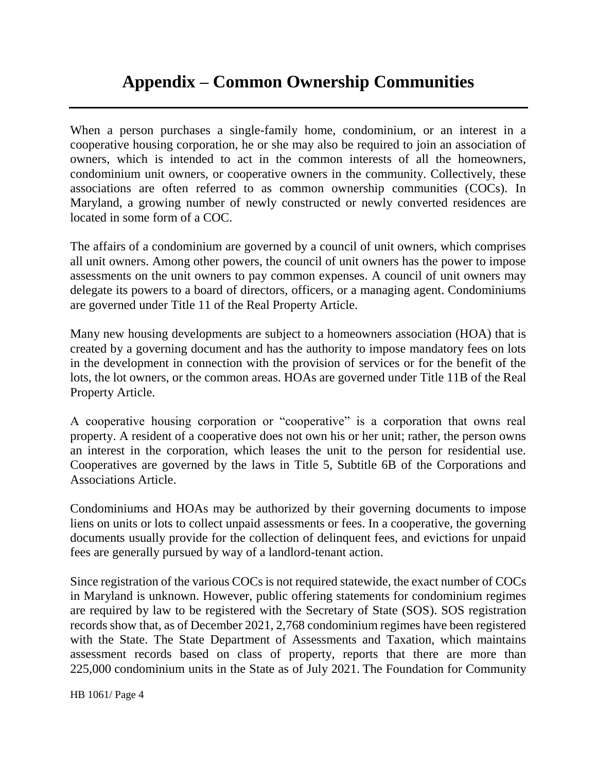# **Appendix – Common Ownership Communities**

When a person purchases a single-family home, condominium, or an interest in a cooperative housing corporation, he or she may also be required to join an association of owners, which is intended to act in the common interests of all the homeowners, condominium unit owners, or cooperative owners in the community. Collectively, these associations are often referred to as common ownership communities (COCs). In Maryland, a growing number of newly constructed or newly converted residences are located in some form of a COC.

The affairs of a condominium are governed by a council of unit owners, which comprises all unit owners. Among other powers, the council of unit owners has the power to impose assessments on the unit owners to pay common expenses. A council of unit owners may delegate its powers to a board of directors, officers, or a managing agent. Condominiums are governed under Title 11 of the Real Property Article.

Many new housing developments are subject to a homeowners association (HOA) that is created by a governing document and has the authority to impose mandatory fees on lots in the development in connection with the provision of services or for the benefit of the lots, the lot owners, or the common areas. HOAs are governed under Title 11B of the Real Property Article.

A cooperative housing corporation or "cooperative" is a corporation that owns real property. A resident of a cooperative does not own his or her unit; rather, the person owns an interest in the corporation, which leases the unit to the person for residential use. Cooperatives are governed by the laws in Title 5, Subtitle 6B of the Corporations and Associations Article.

Condominiums and HOAs may be authorized by their governing documents to impose liens on units or lots to collect unpaid assessments or fees. In a cooperative, the governing documents usually provide for the collection of delinquent fees, and evictions for unpaid fees are generally pursued by way of a landlord-tenant action.

Since registration of the various COCs is not required statewide, the exact number of COCs in Maryland is unknown. However, public offering statements for condominium regimes are required by law to be registered with the Secretary of State (SOS). SOS registration records show that, as of December 2021, 2,768 condominium regimes have been registered with the State. The State Department of Assessments and Taxation, which maintains assessment records based on class of property, reports that there are more than 225,000 condominium units in the State as of July 2021. The Foundation for Community

HB 1061/ Page 4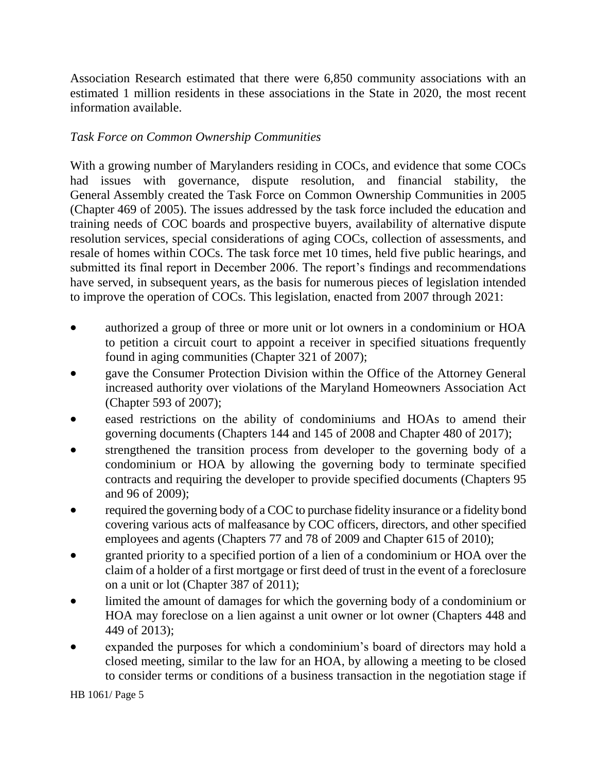Association Research estimated that there were 6,850 community associations with an estimated 1 million residents in these associations in the State in 2020, the most recent information available.

## *Task Force on Common Ownership Communities*

With a growing number of Marylanders residing in COCs, and evidence that some COCs had issues with governance, dispute resolution, and financial stability, the General Assembly created the Task Force on Common Ownership Communities in 2005 (Chapter 469 of 2005). The issues addressed by the task force included the education and training needs of COC boards and prospective buyers, availability of alternative dispute resolution services, special considerations of aging COCs, collection of assessments, and resale of homes within COCs. The task force met 10 times, held five public hearings, and submitted its final report in December 2006. The report's findings and recommendations have served, in subsequent years, as the basis for numerous pieces of legislation intended to improve the operation of COCs. This legislation, enacted from 2007 through 2021:

- authorized a group of three or more unit or lot owners in a condominium or HOA to petition a circuit court to appoint a receiver in specified situations frequently found in aging communities (Chapter 321 of 2007);
- gave the Consumer Protection Division within the Office of the Attorney General increased authority over violations of the Maryland Homeowners Association Act (Chapter 593 of 2007);
- eased restrictions on the ability of condominiums and HOAs to amend their governing documents (Chapters 144 and 145 of 2008 and Chapter 480 of 2017);
- strengthened the transition process from developer to the governing body of a condominium or HOA by allowing the governing body to terminate specified contracts and requiring the developer to provide specified documents (Chapters 95 and 96 of 2009);
- required the governing body of a COC to purchase fidelity insurance or a fidelity bond covering various acts of malfeasance by COC officers, directors, and other specified employees and agents (Chapters 77 and 78 of 2009 and Chapter 615 of 2010);
- granted priority to a specified portion of a lien of a condominium or HOA over the claim of a holder of a first mortgage or first deed of trust in the event of a foreclosure on a unit or lot (Chapter 387 of 2011);
- limited the amount of damages for which the governing body of a condominium or HOA may foreclose on a lien against a unit owner or lot owner (Chapters 448 and 449 of 2013);
- expanded the purposes for which a condominium's board of directors may hold a closed meeting, similar to the law for an HOA, by allowing a meeting to be closed to consider terms or conditions of a business transaction in the negotiation stage if